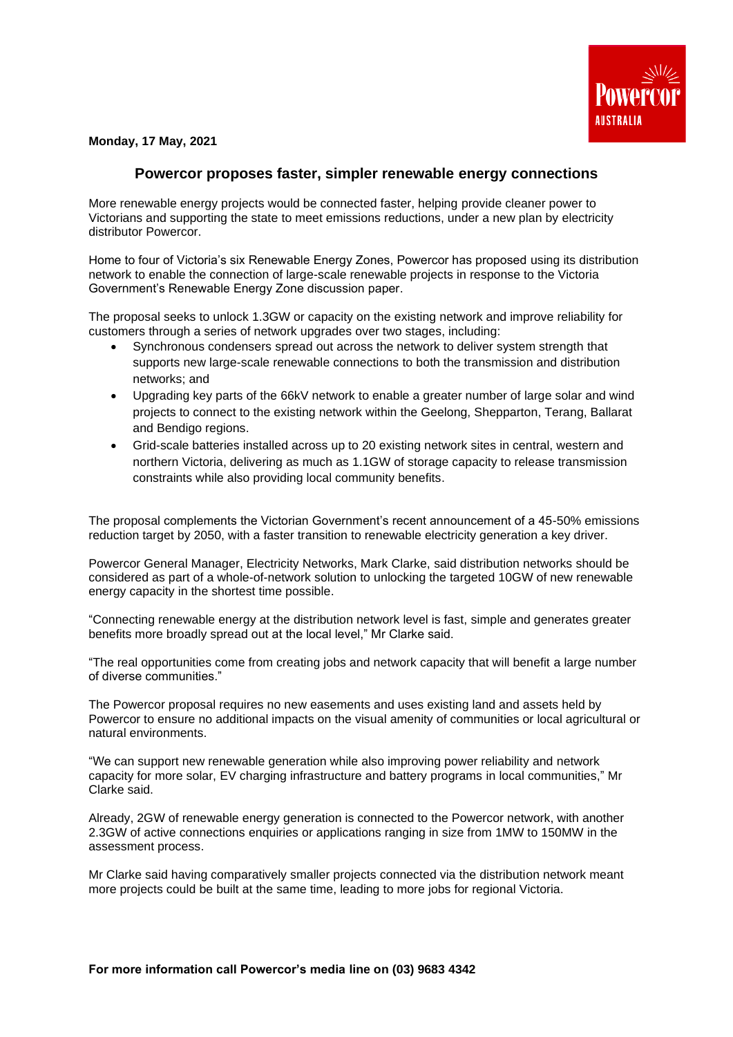

**Monday, 17 May, 2021**

## **Powercor proposes faster, simpler renewable energy connections**

More renewable energy projects would be connected faster, helping provide cleaner power to Victorians and supporting the state to meet emissions reductions, under a new plan by electricity distributor Powercor.

Home to four of Victoria's six Renewable Energy Zones, Powercor has proposed using its distribution network to enable the connection of large-scale renewable projects in response to the Victoria Government's Renewable Energy Zone discussion paper.

The proposal seeks to unlock 1.3GW or capacity on the existing network and improve reliability for customers through a series of network upgrades over two stages, including:

- Synchronous condensers spread out across the network to deliver system strength that supports new large-scale renewable connections to both the transmission and distribution networks; and
- Upgrading key parts of the 66kV network to enable a greater number of large solar and wind projects to connect to the existing network within the Geelong, Shepparton, Terang, Ballarat and Bendigo regions.
- Grid-scale batteries installed across up to 20 existing network sites in central, western and northern Victoria, delivering as much as 1.1GW of storage capacity to release transmission constraints while also providing local community benefits.

The proposal complements the Victorian Government's recent announcement of a 45-50% emissions reduction target by 2050, with a faster transition to renewable electricity generation a key driver.

Powercor General Manager, Electricity Networks, Mark Clarke, said distribution networks should be considered as part of a whole-of-network solution to unlocking the targeted 10GW of new renewable energy capacity in the shortest time possible.

"Connecting renewable energy at the distribution network level is fast, simple and generates greater benefits more broadly spread out at the local level," Mr Clarke said.

"The real opportunities come from creating jobs and network capacity that will benefit a large number of diverse communities."

The Powercor proposal requires no new easements and uses existing land and assets held by Powercor to ensure no additional impacts on the visual amenity of communities or local agricultural or natural environments.

"We can support new renewable generation while also improving power reliability and network capacity for more solar, EV charging infrastructure and battery programs in local communities," Mr Clarke said.

Already, 2GW of renewable energy generation is connected to the Powercor network, with another 2.3GW of active connections enquiries or applications ranging in size from 1MW to 150MW in the assessment process.

Mr Clarke said having comparatively smaller projects connected via the distribution network meant more projects could be built at the same time, leading to more jobs for regional Victoria.